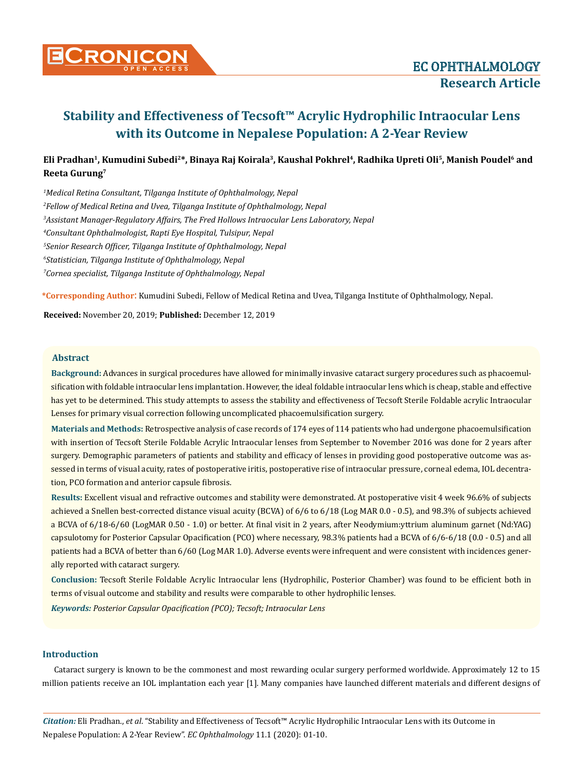

# **Eli Pradhan1, Kumudini Subedi2\*, Binaya Raj Koirala3, Kaushal Pokhrel4, Radhika Upreti Oli5, Manish Poudel6 and Reeta Gurung7**

 *Medical Retina Consultant, Tilganga Institute of Ophthalmology, Nepal Fellow of Medical Retina and Uvea, Tilganga Institute of Ophthalmology, Nepal Assistant Manager-Regulatory Affairs, The Fred Hollows Intraocular Lens Laboratory, Nepal Consultant Ophthalmologist, Rapti Eye Hospital, Tulsipur, Nepal Senior Research Officer, Tilganga Institute of Ophthalmology, Nepal Statistician, Tilganga Institute of Ophthalmology, Nepal Cornea specialist, Tilganga Institute of Ophthalmology, Nepal*

**\*Corresponding Author**: Kumudini Subedi, Fellow of Medical Retina and Uvea, Tilganga Institute of Ophthalmology, Nepal.

**Received:** November 20, 2019; **Published:** December 12, 2019

#### **Abstract**

**Background:** Advances in surgical procedures have allowed for minimally invasive cataract surgery procedures such as phacoemulsification with foldable intraocular lens implantation. However, the ideal foldable intraocular lens which is cheap, stable and effective has yet to be determined. This study attempts to assess the stability and effectiveness of Tecsoft Sterile Foldable acrylic Intraocular Lenses for primary visual correction following uncomplicated phacoemulsification surgery.

**Materials and Methods:** Retrospective analysis of case records of 174 eyes of 114 patients who had undergone phacoemulsification with insertion of Tecsoft Sterile Foldable Acrylic Intraocular lenses from September to November 2016 was done for 2 years after surgery. Demographic parameters of patients and stability and efficacy of lenses in providing good postoperative outcome was assessed in terms of visual acuity, rates of postoperative iritis, postoperative rise of intraocular pressure, corneal edema, IOL decentration, PCO formation and anterior capsule fibrosis.

**Results:** Excellent visual and refractive outcomes and stability were demonstrated. At postoperative visit 4 week 96.6% of subjects achieved a Snellen best-corrected distance visual acuity (BCVA) of 6/6 to 6/18 (Log MAR 0.0 - 0.5), and 98.3% of subjects achieved a BCVA of 6/18-6/60 (LogMAR 0.50 - 1.0) or better. At final visit in 2 years, after Neodymium:yttrium aluminum garnet (Nd:YAG) capsulotomy for Posterior Capsular Opacification (PCO) where necessary, 98.3% patients had a BCVA of 6/6-6/18 (0.0 - 0.5) and all patients had a BCVA of better than 6/60 (Log MAR 1.0). Adverse events were infrequent and were consistent with incidences generally reported with cataract surgery.

**Conclusion:** Tecsoft Sterile Foldable Acrylic Intraocular lens (Hydrophilic, Posterior Chamber) was found to be efficient both in terms of visual outcome and stability and results were comparable to other hydrophilic lenses.

*Keywords: Posterior Capsular Opacification (PCO); Tecsoft; Intraocular Lens*

# **Introduction**

Cataract surgery is known to be the commonest and most rewarding ocular surgery performed worldwide. Approximately 12 to 15 million patients receive an IOL implantation each year [1]. Many companies have launched different materials and different designs of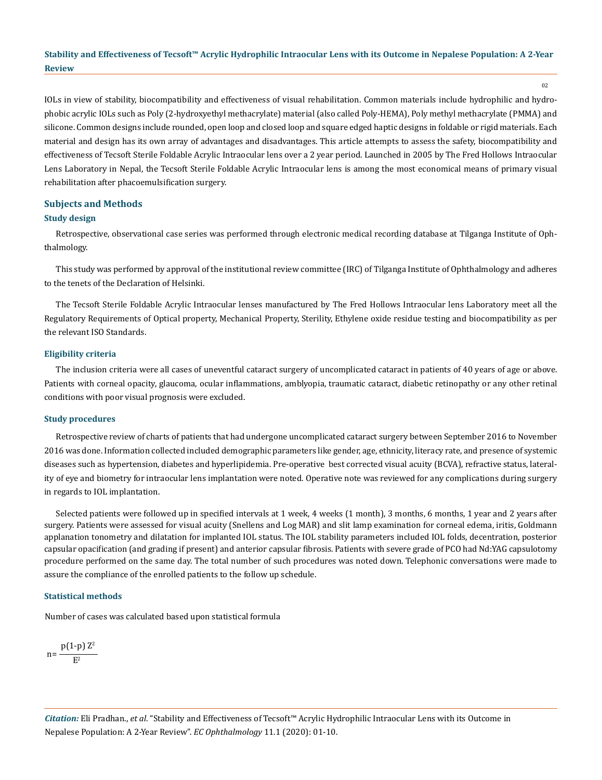02

IOLs in view of stability, biocompatibility and effectiveness of visual rehabilitation. Common materials include hydrophilic and hydrophobic acrylic IOLs such as Poly (2-hydroxyethyl methacrylate) material (also called Poly-HEMA), Poly methyl methacrylate (PMMA) and silicone. Common designs include rounded, open loop and closed loop and square edged haptic designs in foldable or rigid materials. Each material and design has its own array of advantages and disadvantages. This article attempts to assess the safety, biocompatibility and effectiveness of Tecsoft Sterile Foldable Acrylic Intraocular lens over a 2 year period. Launched in 2005 by The Fred Hollows Intraocular Lens Laboratory in Nepal, the Tecsoft Sterile Foldable Acrylic Intraocular lens is among the most economical means of primary visual rehabilitation after phacoemulsification surgery.

# **Subjects and Methods**

## **Study design**

Retrospective, observational case series was performed through electronic medical recording database at Tilganga Institute of Ophthalmology.

This study was performed by approval of the institutional review committee (IRC) of Tilganga Institute of Ophthalmology and adheres to the tenets of the Declaration of Helsinki.

The Tecsoft Sterile Foldable Acrylic Intraocular lenses manufactured by The Fred Hollows Intraocular lens Laboratory meet all the Regulatory Requirements of Optical property, Mechanical Property, Sterility, Ethylene oxide residue testing and biocompatibility as per the relevant ISO Standards.

#### **Eligibility criteria**

The inclusion criteria were all cases of uneventful cataract surgery of uncomplicated cataract in patients of 40 years of age or above. Patients with corneal opacity, glaucoma, ocular inflammations, amblyopia, traumatic cataract, diabetic retinopathy or any other retinal conditions with poor visual prognosis were excluded.

#### **Study procedures**

Retrospective review of charts of patients that had undergone uncomplicated cataract surgery between September 2016 to November 2016 was done. Information collected included demographic parameters like gender, age, ethnicity, literacy rate, and presence of systemic diseases such as hypertension, diabetes and hyperlipidemia. Pre-operative best corrected visual acuity (BCVA), refractive status, laterality of eye and biometry for intraocular lens implantation were noted. Operative note was reviewed for any complications during surgery in regards to IOL implantation.

Selected patients were followed up in specified intervals at 1 week, 4 weeks (1 month), 3 months, 6 months, 1 year and 2 years after surgery. Patients were assessed for visual acuity (Snellens and Log MAR) and slit lamp examination for corneal edema, iritis, Goldmann applanation tonometry and dilatation for implanted IOL status. The IOL stability parameters included IOL folds, decentration, posterior capsular opacification (and grading if present) and anterior capsular fibrosis. Patients with severe grade of PCO had Nd:YAG capsulotomy procedure performed on the same day. The total number of such procedures was noted down. Telephonic conversations were made to assure the compliance of the enrolled patients to the follow up schedule.

#### **Statistical methods**

Number of cases was calculated based upon statistical formula

$$
n = \frac{p(1-p) Z^2}{E^2}
$$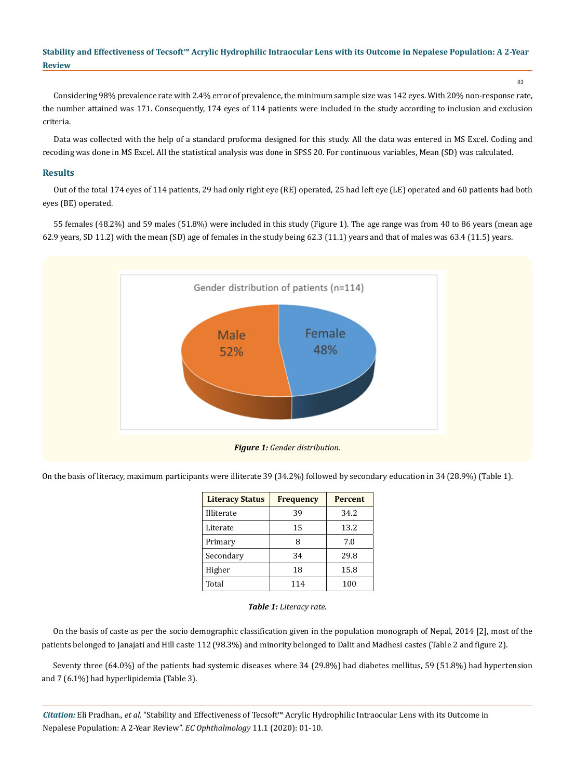03

Considering 98% prevalence rate with 2.4% error of prevalence, the minimum sample size was 142 eyes. With 20% non-response rate, the number attained was 171. Consequently, 174 eyes of 114 patients were included in the study according to inclusion and exclusion criteria.

Data was collected with the help of a standard proforma designed for this study. All the data was entered in MS Excel. Coding and recoding was done in MS Excel. All the statistical analysis was done in SPSS 20. For continuous variables, Mean (SD) was calculated.

# **Results**

Out of the total 174 eyes of 114 patients, 29 had only right eye (RE) operated, 25 had left eye (LE) operated and 60 patients had both eyes (BE) operated.

55 females (48.2%) and 59 males (51.8%) were included in this study (Figure 1). The age range was from 40 to 86 years (mean age 62.9 years, SD 11.2) with the mean (SD) age of females in the study being 62.3 (11.1) years and that of males was 63.4 (11.5) years.



On the basis of literacy, maximum participants were illiterate 39 (34.2%) followed by secondary education in 34 (28.9%) (Table 1).

| <b>Literacy Status</b> | <b>Frequency</b> | <b>Percent</b> |
|------------------------|------------------|----------------|
| Illiterate             | 39               | 34.2           |
| Literate               | 15               | 13.2           |
| Primary                | 8                | 7.0            |
| Secondary              | 34               | 29.8           |
| Higher                 | 18               | 15.8           |
| Total                  | 114              | 100            |

## *Table 1: Literacy rate.*

On the basis of caste as per the socio demographic classification given in the population monograph of Nepal, 2014 [2], most of the patients belonged to Janajati and Hill caste 112 (98.3%) and minority belonged to Dalit and Madhesi castes (Table 2 and figure 2).

Seventy three (64.0%) of the patients had systemic diseases where 34 (29.8%) had diabetes mellitus, 59 (51.8%) had hypertension and 7 (6.1%) had hyperlipidemia (Table 3).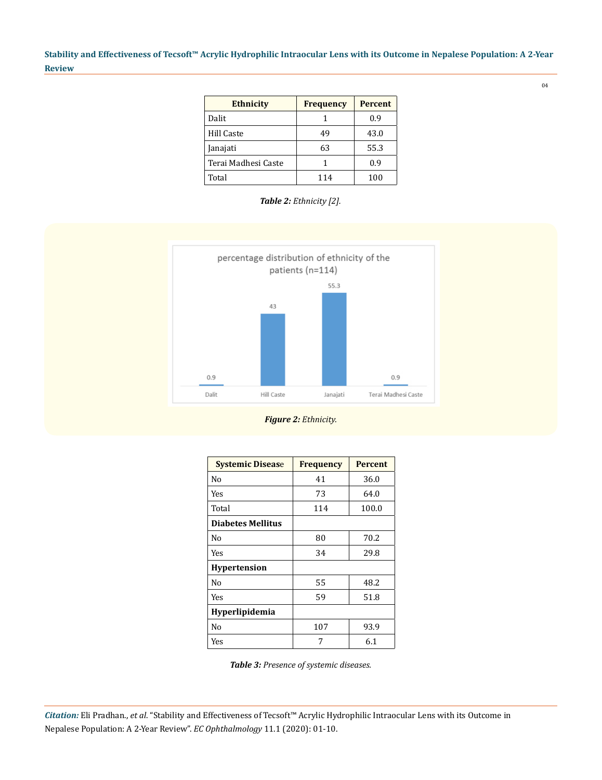| <b>Ethnicity</b>    | <b>Frequency</b> | <b>Percent</b> |
|---------------------|------------------|----------------|
| Dalit               |                  | 0.9            |
| Hill Caste          | 49               | 43.0           |
| Janajati            | 63               | 55.3           |
| Terai Madhesi Caste |                  | 0.9            |
| Total               | 114              | 100            |

*Table 2: Ethnicity [2].*



*Figure 2: Ethnicity.*

| <b>Systemic Disease</b>  | <b>Frequency</b> | <b>Percent</b> |  |
|--------------------------|------------------|----------------|--|
| No                       | 41               | 36.0           |  |
| Yes                      | 73               | 64.0           |  |
| Total                    | 114              | 100.0          |  |
| <b>Diabetes Mellitus</b> |                  |                |  |
| No                       | 80               | 70.2           |  |
| Yes                      | 34               | 29.8           |  |
| <b>Hypertension</b>      |                  |                |  |
| No                       | 55               | 48.2           |  |
| Yes                      | 59               | 51.8           |  |
| <b>Hyperlipidemia</b>    |                  |                |  |
| No                       | 107              | 93.9           |  |
| Yes                      | 7                | 6.1            |  |

*Table 3: Presence of systemic diseases.*

*Citation:* Eli Pradhan., *et al*. "Stability and Effectiveness of Tecsoft™ Acrylic Hydrophilic Intraocular Lens with its Outcome in Nepalese Population: A 2-Year Review". *EC Ophthalmology* 11.1 (2020): 01-10.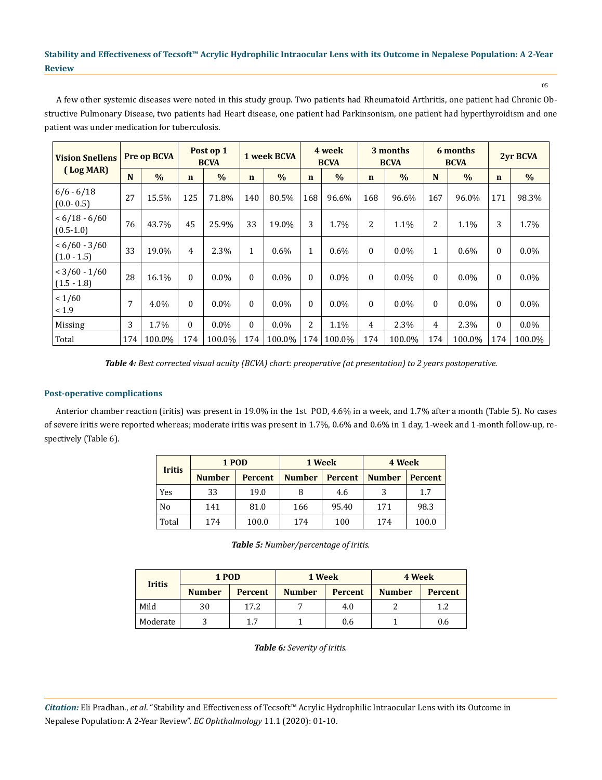05

A few other systemic diseases were noted in this study group. Two patients had Rheumatoid Arthritis, one patient had Chronic Obstructive Pulmonary Disease, two patients had Heart disease, one patient had Parkinsonism, one patient had hyperthyroidism and one patient was under medication for tuberculosis.

| <b>Vision Snellens</b>           |     | Post op 1<br>Pre op BCVA<br><b>BCVA</b> |             |               | 4 week<br>1 week BCVA<br><b>BCVA</b> |               | 3 months<br><b>BCVA</b> |               | 6 months<br><b>BCVA</b> |               | <b>2yr BCVA</b> |               |              |         |
|----------------------------------|-----|-----------------------------------------|-------------|---------------|--------------------------------------|---------------|-------------------------|---------------|-------------------------|---------------|-----------------|---------------|--------------|---------|
| (Log MAR)                        | N   | $\frac{0}{0}$                           | $\mathbf n$ | $\frac{0}{0}$ | $\mathbf n$                          | $\frac{0}{0}$ | $\mathbf n$             | $\frac{0}{0}$ | $\mathbf n$             | $\frac{0}{0}$ | N               | $\frac{0}{0}$ | $\mathbf n$  | $\%$    |
| $6/6 - 6/18$<br>$(0.0 - 0.5)$    | 27  | 15.5%                                   | 125         | 71.8%         | 140                                  | 80.5%         | 168                     | 96.6%         | 168                     | 96.6%         | 167             | 96.0%         | 171          | 98.3%   |
| $< 6/18 - 6/60$<br>$(0.5 - 1.0)$ | 76  | 43.7%                                   | 45          | 25.9%         | 33                                   | 19.0%         | 3                       | 1.7%          | 2                       | 1.1%          | 2               | 1.1%          | 3            | 1.7%    |
| $< 6/60 - 3/60$<br>$(1.0 - 1.5)$ | 33  | 19.0%                                   | 4           | 2.3%          | $\mathbf{1}$                         | $0.6\%$       | $\mathbf{1}$            | 0.6%          | $\boldsymbol{0}$        | $0.0\%$       | $\mathbf{1}$    | $0.6\%$       | $\theta$     | $0.0\%$ |
| $< 3/60 - 1/60$<br>$(1.5 - 1.8)$ | 28  | 16.1%                                   | $\Omega$    | $0.0\%$       | $\theta$                             | $0.0\%$       | $\Omega$                | $0.0\%$       | $\Omega$                | $0.0\%$       | $\Omega$        | $0.0\%$       | $\theta$     | $0.0\%$ |
| 1/60<br>< 1.9                    | 7   | 4.0%                                    | $\Omega$    | $0.0\%$       | $\mathbf{0}$                         | $0.0\%$       | $\Omega$                | $0.0\%$       | $\boldsymbol{0}$        | $0.0\%$       | $\Omega$        | $0.0\%$       | $\theta$     | $0.0\%$ |
| Missing                          | 3   | 1.7%                                    | $\Omega$    | $0.0\%$       | 0                                    | $0.0\%$       | 2                       | 1.1%          | 4                       | 2.3%          | 4               | 2.3%          | $\mathbf{0}$ | $0.0\%$ |
| Total                            | 174 | 100.0%                                  | 174         | 100.0%        | 174                                  | 100.0%        | 174                     | 100.0%        | 174                     | 100.0%        | 174             | 100.0%        | 174          | 100.0%  |

*Table 4: Best corrected visual acuity (BCVA) chart: preoperative (at presentation) to 2 years postoperative.*

# **Post-operative complications**

Anterior chamber reaction (iritis) was present in 19.0% in the 1st POD, 4.6% in a week, and 1.7% after a month (Table 5). No cases of severe iritis were reported whereas; moderate iritis was present in 1.7%, 0.6% and 0.6% in 1 day, 1-week and 1-month follow-up, respectively (Table 6).

|               | 1 POD         |                | 1 Week        |                | 4 Week        |                |  |
|---------------|---------------|----------------|---------------|----------------|---------------|----------------|--|
| <b>Iritis</b> | <b>Number</b> | <b>Percent</b> | <b>Number</b> | <b>Percent</b> | <b>Number</b> | <b>Percent</b> |  |
| Yes           | 33            | 19.0           | 8             | 4.6            | 3             | 1.7            |  |
| No            | 141           | 81.0           | 166           | 95.40          | 171           | 98.3           |  |
| Total         | 174           | 100.0          | 174           | 100            | 174           | 100.0          |  |

*Table 5: Number/percentage of iritis.*

|               | 1 POD         |                | 1 Week        |                | 4 Week        |                |  |
|---------------|---------------|----------------|---------------|----------------|---------------|----------------|--|
| <b>Iritis</b> | <b>Number</b> | <b>Percent</b> | <b>Number</b> | <b>Percent</b> | <b>Number</b> | <b>Percent</b> |  |
| Mild          | 30            | 17.2           |               | 4.0            |               | 1.2            |  |
| Moderate      |               | 1.7            |               | 0.6            |               | 0.6            |  |

*Table 6: Severity of iritis.*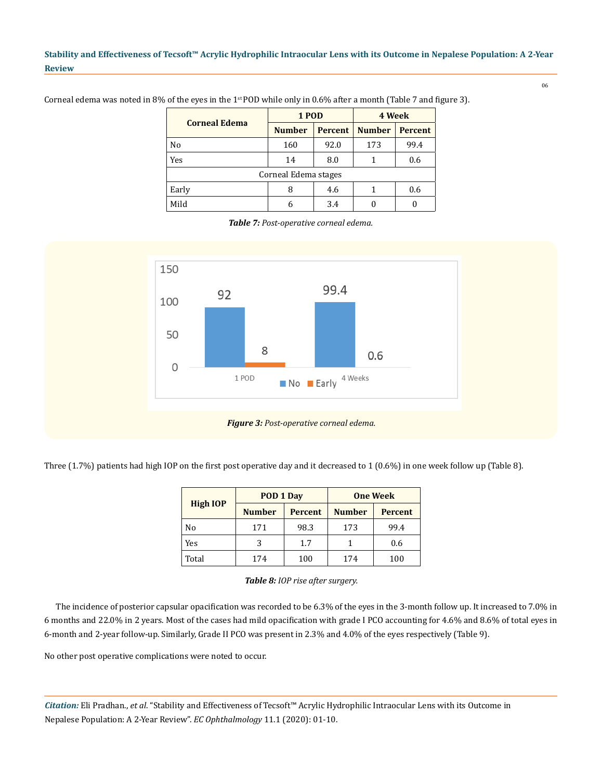06

| <b>Corneal Edema</b> | 1 POD         |                | 4 Week        |                |  |  |  |
|----------------------|---------------|----------------|---------------|----------------|--|--|--|
|                      | <b>Number</b> | <b>Percent</b> | <b>Number</b> | <b>Percent</b> |  |  |  |
| No                   | 160           | 92.0           | 173           | 99.4           |  |  |  |
| Yes                  | 14            | 8.0            |               | 0.6            |  |  |  |
| Corneal Edema stages |               |                |               |                |  |  |  |
| Early                | 8             | 4.6            |               | 0.6            |  |  |  |
| Mild                 | 6             | 3.4            |               |                |  |  |  |

Corneal edema was noted in 8% of the eyes in the  $1<sup>st</sup>$  POD while only in 0.6% after a month (Table 7 and figure 3).

*Table 7: Post-operative corneal edema.*



Three (1.7%) patients had high IOP on the first post operative day and it decreased to 1 (0.6%) in one week follow up (Table 8).

|                 | POD 1 Day     |                | <b>One Week</b> |                |  |
|-----------------|---------------|----------------|-----------------|----------------|--|
| <b>High IOP</b> | <b>Number</b> | <b>Percent</b> | <b>Number</b>   | <b>Percent</b> |  |
| No              | 171           | 98.3           | 173             | 99.4           |  |
| Yes             | 3             | 1.7            |                 | 0.6            |  |
| Total           | 174           | 100            | 174             | 100            |  |

*Table 8: IOP rise after surgery.*

The incidence of posterior capsular opacification was recorded to be 6.3% of the eyes in the 3-month follow up. It increased to 7.0% in 6 months and 22.0% in 2 years. Most of the cases had mild opacification with grade I PCO accounting for 4.6% and 8.6% of total eyes in 6-month and 2-year follow-up. Similarly, Grade II PCO was present in 2.3% and 4.0% of the eyes respectively (Table 9).

No other post operative complications were noted to occur.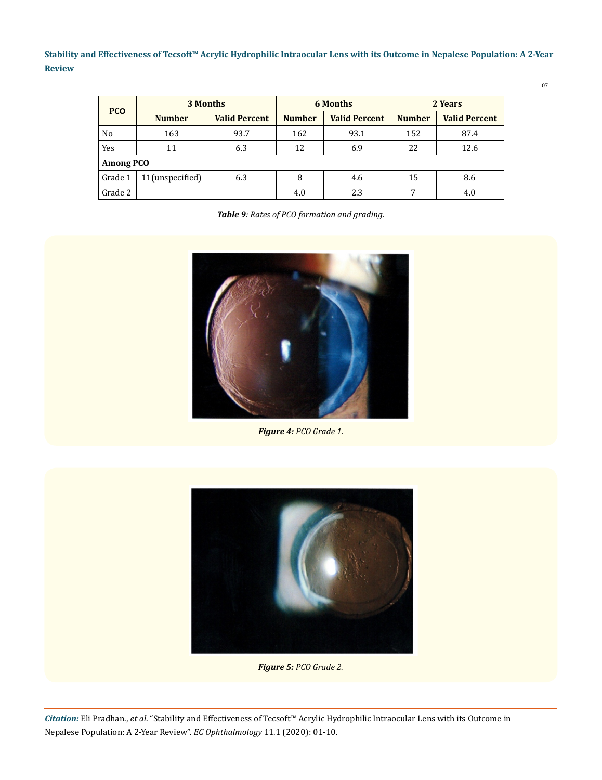| <b>PCO</b> | 3 Months         |                      |               | <b>6 Months</b>      | 2 Years       |                      |  |  |
|------------|------------------|----------------------|---------------|----------------------|---------------|----------------------|--|--|
|            | <b>Number</b>    | <b>Valid Percent</b> | <b>Number</b> | <b>Valid Percent</b> | <b>Number</b> | <b>Valid Percent</b> |  |  |
| No         | 163              | 93.7                 | 162           | 93.1                 | 152           | 87.4                 |  |  |
| Yes        | 11               | 6.3                  | 12            | 6.9                  | 22            | 12.6                 |  |  |
|            | <b>Among PCO</b> |                      |               |                      |               |                      |  |  |
| Grade 1    | 11(unspecified)  | 6.3                  | 8             | 4.6                  | 15            | 8.6                  |  |  |
| Grade 2    |                  |                      | 4.0           | 2.3                  | 7             | 4.0                  |  |  |

| Table 9: Rates of PCO formation and grading. |  |  |
|----------------------------------------------|--|--|
|                                              |  |  |



*Figure 4: PCO Grade 1.*



*Figure 5: PCO Grade 2.*

07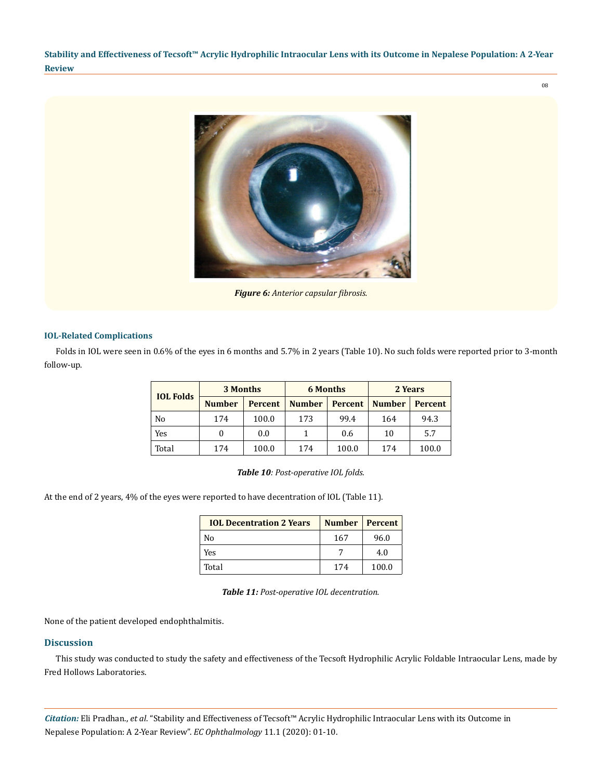

*Figure 6: Anterior capsular fibrosis.*

# **IOL-Related Complications**

Folds in IOL were seen in 0.6% of the eyes in 6 months and 5.7% in 2 years (Table 10). No such folds were reported prior to 3-month follow-up.

|                  | 3 Months      |                | <b>6 Months</b> |                | 2 Years       |                |  |
|------------------|---------------|----------------|-----------------|----------------|---------------|----------------|--|
| <b>IOL Folds</b> | <b>Number</b> | <b>Percent</b> | <b>Number</b>   | <b>Percent</b> | <b>Number</b> | <b>Percent</b> |  |
| N <sub>0</sub>   | 174           | 100.0          | 173             | 99.4           | 164           | 94.3           |  |
| Yes              |               | 0.0            |                 | 0.6            | 10            | 5.7            |  |
| Total            | 174           | 100.0          | 174             | 100.0          | 174           | 100.0          |  |

*Table 10: Post-operative IOL folds.*

At the end of 2 years, 4% of the eyes were reported to have decentration of IOL (Table 11).

| <b>IOL Decentration 2 Years</b> | Number   Percent |       |
|---------------------------------|------------------|-------|
| No                              | 167              | 96.0  |
| Yes                             |                  | 4.0   |
| Total                           | 174              | 100.0 |

*Table 11: Post-operative IOL decentration.*

None of the patient developed endophthalmitis.

#### **Discussion**

This study was conducted to study the safety and effectiveness of the Tecsoft Hydrophilic Acrylic Foldable Intraocular Lens, made by Fred Hollows Laboratories.

*Citation:* Eli Pradhan., *et al*. "Stability and Effectiveness of Tecsoft™ Acrylic Hydrophilic Intraocular Lens with its Outcome in Nepalese Population: A 2-Year Review". *EC Ophthalmology* 11.1 (2020): 01-10.

08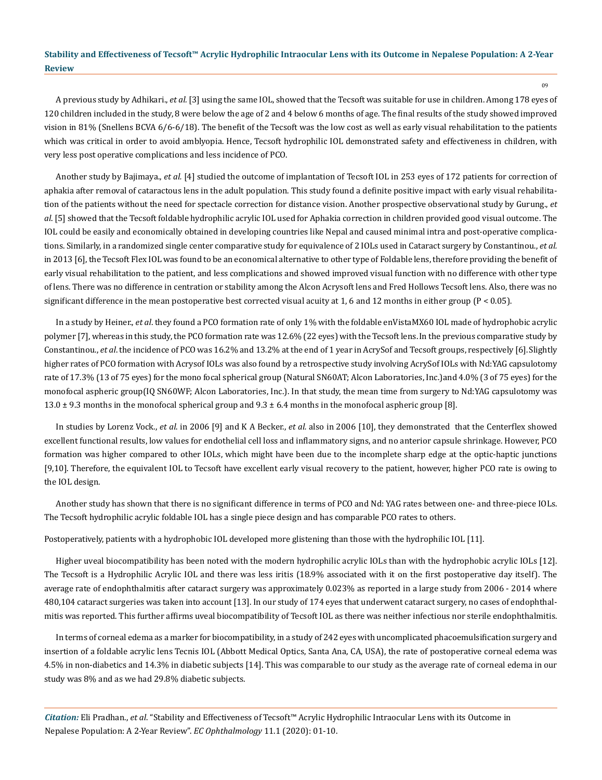A previous study by Adhikari., *et al.* [3] using the same IOL, showed that the Tecsoft was suitable for use in children. Among 178 eyes of 120 children included in the study, 8 were below the age of 2 and 4 below 6 months of age. The final results of the study showed improved vision in 81% (Snellens BCVA 6/6-6/18). The benefit of the Tecsoft was the low cost as well as early visual rehabilitation to the patients which was critical in order to avoid amblyopia. Hence, Tecsoft hydrophilic IOL demonstrated safety and effectiveness in children, with very less post operative complications and less incidence of PCO.

Another study by Bajimaya., *et al.* [4] studied the outcome of implantation of Tecsoft IOL in 253 eyes of 172 patients for correction of aphakia after removal of cataractous lens in the adult population. This study found a definite positive impact with early visual rehabilitation of the patients without the need for spectacle correction for distance vision. Another prospective observational study by Gurung., *et al*. [5] showed that the Tecsoft foldable hydrophilic acrylic IOL used for Aphakia correction in children provided good visual outcome. The IOL could be easily and economically obtained in developing countries like Nepal and caused minimal intra and post-operative complications. Similarly, in a randomized single center comparative study for equivalence of 2 IOLs used in Cataract surgery by Constantinou., *et al.* in 2013 [6], the Tecsoft Flex IOL was found to be an economical alternative to other type of Foldable lens, therefore providing the benefit of early visual rehabilitation to the patient, and less complications and showed improved visual function with no difference with other type of lens. There was no difference in centration or stability among the Alcon Acrysoft lens and Fred Hollows Tecsoft lens. Also, there was no significant difference in the mean postoperative best corrected visual acuity at 1, 6 and 12 months in either group (P < 0.05).

In a study by Heiner., *et al*. they found a PCO formation rate of only 1% with the foldable enVistaMX60 IOL made of hydrophobic acrylic polymer [7], whereas in this study, the PCO formation rate was 12.6% (22 eyes) with the Tecsoft lens.In the previous comparative study by Constantinou., *et al*. the incidence of PCO was 16.2% and 13.2% at the end of 1 year in AcrySof and Tecsoft groups, respectively [6].Slightly higher rates of PCO formation with Acrysof IOLs was also found by a retrospective study involving AcrySof IOLs with Nd:YAG capsulotomy rate of 17.3% (13 of 75 eyes) for the mono focal spherical group (Natural SN60AT; Alcon Laboratories, Inc.)and 4.0% (3 of 75 eyes) for the monofocal aspheric group(IQ SN60WF; Alcon Laboratories, Inc.). In that study, the mean time from surgery to Nd:YAG capsulotomy was 13.0  $\pm$  9.3 months in the monofocal spherical group and 9.3  $\pm$  6.4 months in the monofocal aspheric group [8].

In studies by Lorenz Vock., *et al*. in 2006 [9] and K A Becker., *et al.* also in 2006 [10], they demonstrated that the Centerflex showed excellent functional results, low values for endothelial cell loss and inflammatory signs, and no anterior capsule shrinkage. However, PCO formation was higher compared to other IOLs, which might have been due to the incomplete sharp edge at the optic-haptic junctions [9,10]. Therefore, the equivalent IOL to Tecsoft have excellent early visual recovery to the patient, however, higher PCO rate is owing to the IOL design.

Another study has shown that there is no significant difference in terms of PCO and Nd: YAG rates between one- and three-piece IOLs. The Tecsoft hydrophilic acrylic foldable IOL has a single piece design and has comparable PCO rates to others.

Postoperatively, patients with a hydrophobic IOL developed more glistening than those with the hydrophilic IOL [11].

Higher uveal biocompatibility has been noted with the modern hydrophilic acrylic IOLs than with the hydrophobic acrylic IOLs [12]. The Tecsoft is a Hydrophilic Acrylic IOL and there was less iritis (18.9% associated with it on the first postoperative day itself). The average rate of endophthalmitis after cataract surgery was approximately 0.023% as reported in a large study from 2006 - 2014 where 480,104 cataract surgeries was taken into account [13]. In our study of 174 eyes that underwent cataract surgery, no cases of endophthalmitis was reported. This further affirms uveal biocompatibility of Tecsoft IOL as there was neither infectious nor sterile endophthalmitis.

In terms of corneal edema as a marker for biocompatibility, in a study of 242 eyes with uncomplicated phacoemulsification surgery and insertion of a foldable acrylic lens Tecnis IOL (Abbott Medical Optics, Santa Ana, CA, USA), the rate of postoperative corneal edema was 4.5% in non-diabetics and 14.3% in diabetic subjects [14]. This was comparable to our study as the average rate of corneal edema in our study was 8% and as we had 29.8% diabetic subjects.

*Citation:* Eli Pradhan., *et al*. "Stability and Effectiveness of Tecsoft™ Acrylic Hydrophilic Intraocular Lens with its Outcome in Nepalese Population: A 2-Year Review". *EC Ophthalmology* 11.1 (2020): 01-10.

09